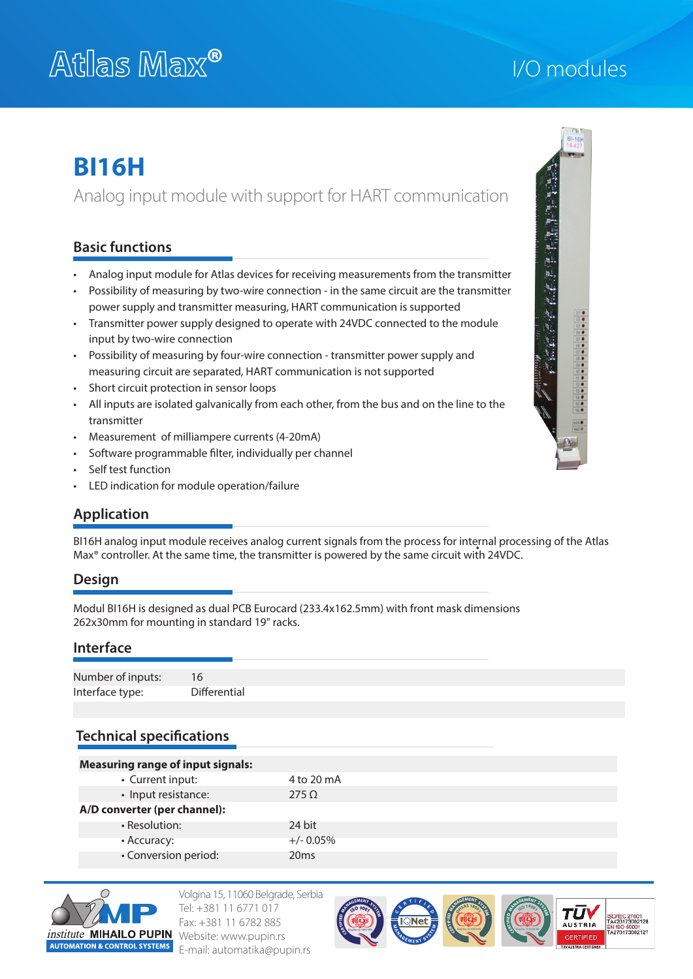# **®** I/O modules

# **BI16H**

Analog input module with support for HART communication

# **Basic functions**

- Analog input module for Atlas devices for receiving measurements from the transmitter
- Possibility of measuring by two-wire connection in the same circuit are the transmitter power supply and transmitter measuring, HART communication is supported
- Transmitter power supply designed to operate with 24VDC connected to the module input by two-wire connection
- Possibility of measuring by four-wire connection transmitter power supply and measuring circuit are separated, HART communication is not supported
- Short circuit protection in sensor loops
- All inputs are isolated galvanically from each other, from the bus and on the line to the transmitter
- Measurement of milliampere currents (4-20mA)
- Software programmable filter, individually per channel
- Self test function
- LED indication for module operation/failure

# **Application**

BI16H analog input module receives analog current signals from the process for internal processing of the Atlas<br>Manufacture in the Atlas Max® controller. At the same time, the transmitter is powered by the same circuit with 24VDC.

# **Design**

Modul BI16H is designed as dual PCB Eurocard (233.4x162.5mm) with front mask dimensions 262x30mm for mounting in standard 19" racks.

## **Interface**

| Number of inputs: | 16           |
|-------------------|--------------|
| Interface type:   | Differential |

# **Technical specifications**

| <b>Measuring range of input signals:</b> |              |
|------------------------------------------|--------------|
| • Current input:                         | 4 to 20 mA   |
| • Input resistance:                      | $275 \Omega$ |
| A/D converter (per channel):             |              |
| • Resolution:                            | 24 bit       |
| • Accuracy:                              | $+/- 0.05\%$ |
| • Conversion period:                     | 20ms         |



Volgina 15, 11060 Belgrade, Serbia Tel: +381 11 6771 017 Fax: +381 11 6782 885 Website: www.pupin.rs E-mail: automatika@pupin.rs